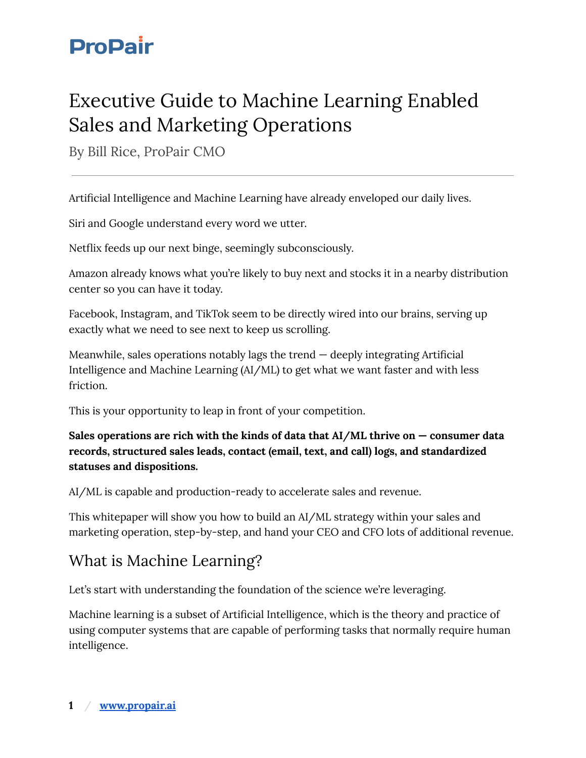## Executive Guide to Machine Learning Enabled Sales and Marketing Operations

By Bill Rice, ProPair CMO

Artificial Intelligence and Machine Learning have already enveloped our daily lives.

Siri and Google understand every word we utter.

Netflix feeds up our next binge, seemingly subconsciously.

Amazon already knows what you're likely to buy next and stocks it in a nearby distribution center so you can have it today.

Facebook, Instagram, and TikTok seem to be directly wired into our brains, serving up exactly what we need to see next to keep us scrolling.

Meanwhile, sales operations notably lags the trend  $-$  deeply integrating Artificial Intelligence and Machine Learning (AI/ML) to get what we want faster and with less friction.

This is your opportunity to leap in front of your competition.

**Sales operations are rich with the kinds of data that AI/ML thrive on — consumer data records, structured sales leads, contact (email, text, and call) logs, and standardized statuses and dispositions.**

AI/ML is capable and production-ready to accelerate sales and revenue.

This whitepaper will show you how to build an AI/ML strategy within your sales and marketing operation, step-by-step, and hand your CEO and CFO lots of additional revenue.

### What is Machine Learning?

Let's start with understanding the foundation of the science we're leveraging.

Machine learning is a subset of Artificial Intelligence, which is the theory and practice of using computer systems that are capable of performing tasks that normally require human intelligence.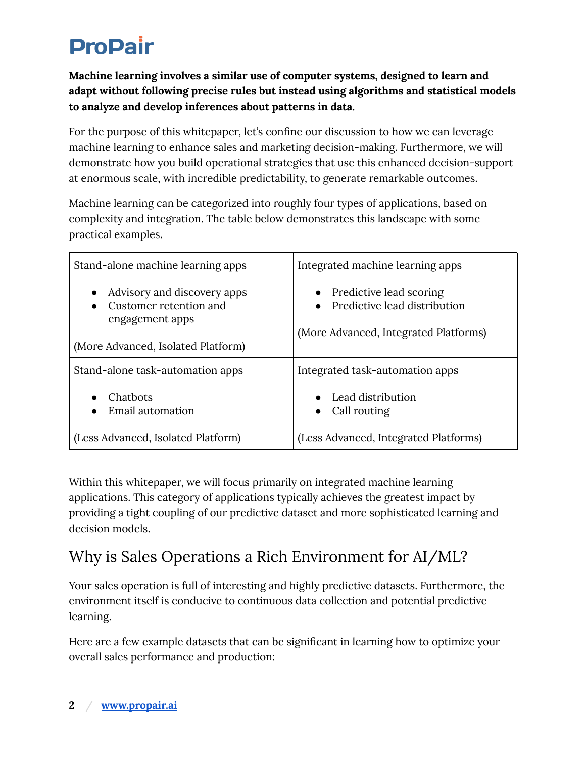**Machine learning involves a similar use of computer systems, designed to learn and adapt without following precise rules but instead using algorithms and statistical models to analyze and develop inferences about patterns in data.**

For the purpose of this whitepaper, let's confine our discussion to how we can leverage machine learning to enhance sales and marketing decision-making. Furthermore, we will demonstrate how you build operational strategies that use this enhanced decision-support at enormous scale, with incredible predictability, to generate remarkable outcomes.

Machine learning can be categorized into roughly four types of applications, based on complexity and integration. The table below demonstrates this landscape with some practical examples.

| Stand-alone machine learning apps                                                                                           | Integrated machine learning apps                                                                                           |
|-----------------------------------------------------------------------------------------------------------------------------|----------------------------------------------------------------------------------------------------------------------------|
| Advisory and discovery apps<br>$\bullet$<br>Customer retention and<br>engagement apps<br>(More Advanced, Isolated Platform) | Predictive lead scoring<br>$\bullet$<br>Predictive lead distribution<br>$\bullet$<br>(More Advanced, Integrated Platforms) |
| Stand-alone task-automation apps                                                                                            | Integrated task-automation apps                                                                                            |
| Chatbots<br>Email automation                                                                                                | Lead distribution<br>$\bullet$<br>Call routing<br>$\bullet$                                                                |
| (Less Advanced, Isolated Platform)                                                                                          | (Less Advanced, Integrated Platforms)                                                                                      |

Within this whitepaper, we will focus primarily on integrated machine learning applications. This category of applications typically achieves the greatest impact by providing a tight coupling of our predictive dataset and more sophisticated learning and decision models.

## Why is Sales Operations a Rich Environment for AI/ML?

Your sales operation is full of interesting and highly predictive datasets. Furthermore, the environment itself is conducive to continuous data collection and potential predictive learning.

Here are a few example datasets that can be significant in learning how to optimize your overall sales performance and production: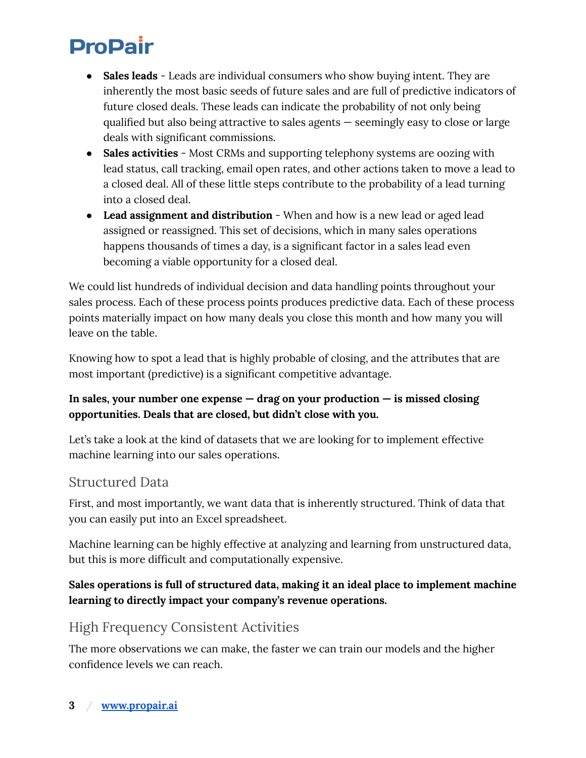- **Sales leads** Leads are individual consumers who show buying intent. They are inherently the most basic seeds of future sales and are full of predictive indicators of future closed deals. These leads can indicate the probability of not only being qualified but also being attractive to sales agents — seemingly easy to close or large deals with significant commissions.
- **Sales activities** Most CRMs and supporting telephony systems are oozing with lead status, call tracking, email open rates, and other actions taken to move a lead to a closed deal. All of these little steps contribute to the probability of a lead turning into a closed deal.
- **Lead assignment and distribution** When and how is a new lead or aged lead assigned or reassigned. This set of decisions, which in many sales operations happens thousands of times a day, is a significant factor in a sales lead even becoming a viable opportunity for a closed deal.

We could list hundreds of individual decision and data handling points throughout your sales process. Each of these process points produces predictive data. Each of these process points materially impact on how many deals you close this month and how many you will leave on the table.

Knowing how to spot a lead that is highly probable of closing, and the attributes that are most important (predictive) is a significant competitive advantage.

#### **In sales, your number one expense — drag on your production — is missed closing opportunities. Deals that are closed, but didn't close with you.**

Let's take a look at the kind of datasets that we are looking for to implement effective machine learning into our sales operations.

#### Structured Data

First, and most importantly, we want data that is inherently structured. Think of data that you can easily put into an Excel spreadsheet.

Machine learning can be highly effective at analyzing and learning from unstructured data, but this is more difficult and computationally expensive.

#### **Sales operations is full of structured data, making it an ideal place to implement machine learning to directly impact your company's revenue operations.**

### High Frequency Consistent Activities

The more observations we can make, the faster we can train our models and the higher confidence levels we can reach.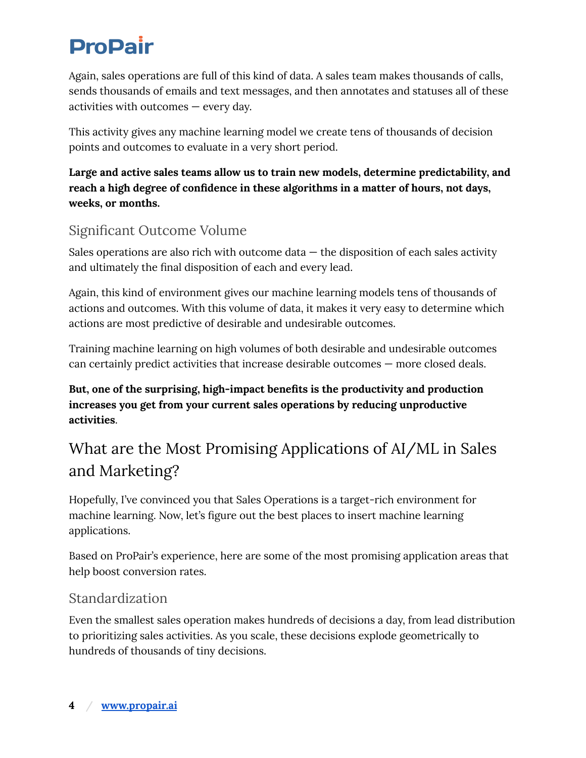Again, sales operations are full of this kind of data. A sales team makes thousands of calls, sends thousands of emails and text messages, and then annotates and statuses all of these activities with outcomes — every day.

This activity gives any machine learning model we create tens of thousands of decision points and outcomes to evaluate in a very short period.

**Large and active sales teams allow us to train new models, determine predictability, and reach a high degree of confidence in these algorithms in a matter of hours, not days, weeks, or months.**

### Significant Outcome Volume

Sales operations are also rich with outcome data  $-$  the disposition of each sales activity and ultimately the final disposition of each and every lead.

Again, this kind of environment gives our machine learning models tens of thousands of actions and outcomes. With this volume of data, it makes it very easy to determine which actions are most predictive of desirable and undesirable outcomes.

Training machine learning on high volumes of both desirable and undesirable outcomes can certainly predict activities that increase desirable outcomes — more closed deals.

**But, one of the surprising, high-impact benefits is the productivity and production increases you get from your current sales operations by reducing unproductive activities**.

## What are the Most Promising Applications of AI/ML in Sales and Marketing?

Hopefully, I've convinced you that Sales Operations is a target-rich environment for machine learning. Now, let's figure out the best places to insert machine learning applications.

Based on ProPair's experience, here are some of the most promising application areas that help boost conversion rates.

### Standardization

Even the smallest sales operation makes hundreds of decisions a day, from lead distribution to prioritizing sales activities. As you scale, these decisions explode geometrically to hundreds of thousands of tiny decisions.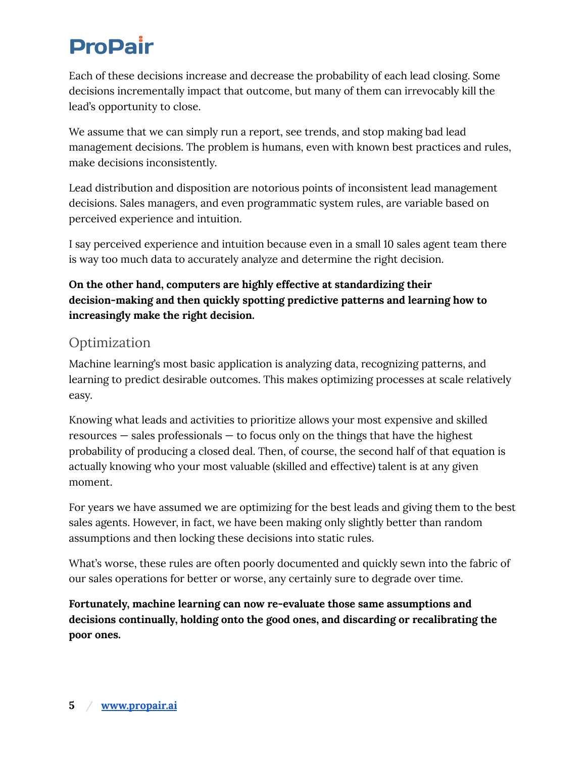Each of these decisions increase and decrease the probability of each lead closing. Some decisions incrementally impact that outcome, but many of them can irrevocably kill the lead's opportunity to close.

We assume that we can simply run a report, see trends, and stop making bad lead management decisions. The problem is humans, even with known best practices and rules, make decisions inconsistently.

Lead distribution and disposition are notorious points of inconsistent lead management decisions. Sales managers, and even programmatic system rules, are variable based on perceived experience and intuition.

I say perceived experience and intuition because even in a small 10 sales agent team there is way too much data to accurately analyze and determine the right decision.

#### **On the other hand, computers are highly effective at standardizing their decision-making and then quickly spotting predictive patterns and learning how to increasingly make the right decision.**

### Optimization

Machine learning's most basic application is analyzing data, recognizing patterns, and learning to predict desirable outcomes. This makes optimizing processes at scale relatively easy.

Knowing what leads and activities to prioritize allows your most expensive and skilled resources — sales professionals — to focus only on the things that have the highest probability of producing a closed deal. Then, of course, the second half of that equation is actually knowing who your most valuable (skilled and effective) talent is at any given moment.

For years we have assumed we are optimizing for the best leads and giving them to the best sales agents. However, in fact, we have been making only slightly better than random assumptions and then locking these decisions into static rules.

What's worse, these rules are often poorly documented and quickly sewn into the fabric of our sales operations for better or worse, any certainly sure to degrade over time.

**Fortunately, machine learning can now re-evaluate those same assumptions and decisions continually, holding onto the good ones, and discarding or recalibrating the poor ones.**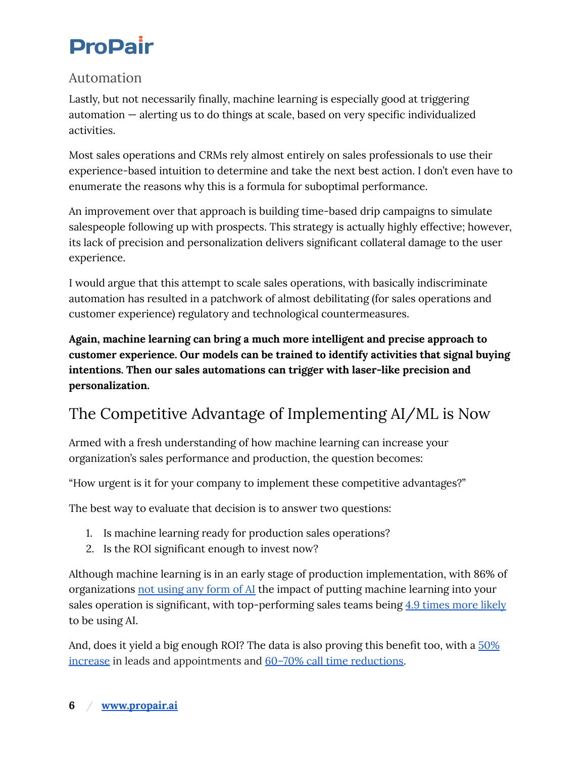#### Automation

Lastly, but not necessarily finally, machine learning is especially good at triggering automation — alerting us to do things at scale, based on very specific individualized activities.

Most sales operations and CRMs rely almost entirely on sales professionals to use their experience-based intuition to determine and take the next best action. I don't even have to enumerate the reasons why this is a formula for suboptimal performance.

An improvement over that approach is building time-based drip campaigns to simulate salespeople following up with prospects. This strategy is actually highly effective; however, its lack of precision and personalization delivers significant collateral damage to the user experience.

I would argue that this attempt to scale sales operations, with basically indiscriminate automation has resulted in a patchwork of almost debilitating (for sales operations and customer experience) regulatory and technological countermeasures.

**Again, machine learning can bring a much more intelligent and precise approach to customer experience. Our models can be trained to identify activities that signal buying intentions. Then our sales automations can trigger with laser-like precision and personalization.**

### The Competitive Advantage of Implementing AI/ML is Now

Armed with a fresh understanding of how machine learning can increase your organization's sales performance and production, the question becomes:

"How urgent is it for your company to implement these competitive advantages?"

The best way to evaluate that decision is to answer two questions:

- 1. Is machine learning ready for production sales operations?
- 2. Is the ROI significant enough to invest now?

Although machine learning is in an early stage of production implementation, with 86% of organizations not [using](https://www.gartner.com/smarterwithgartner/3-barriers-to-ai-adoption) any form of AI the impact of putting machine learning into your sales operation is significant, with top-performing sales teams being 4.9 [times](https://www.salesforce.com/content/dam/web/en_us/www/documents/reports/sales/state-of-sales-3rd-ed.pdf) more likely to be using AI.

And, does it yield a big enough ROI? The data is also proving this benefit too, with a  $50\%$ [increase](https://hbr.org/2016/06/why-salespeople-need-to-develop-machine-intelligence) in leads and appointments and 60–70% call time [reductions.](https://hbr.org/2016/06/why-salespeople-need-to-develop-machine-intelligence)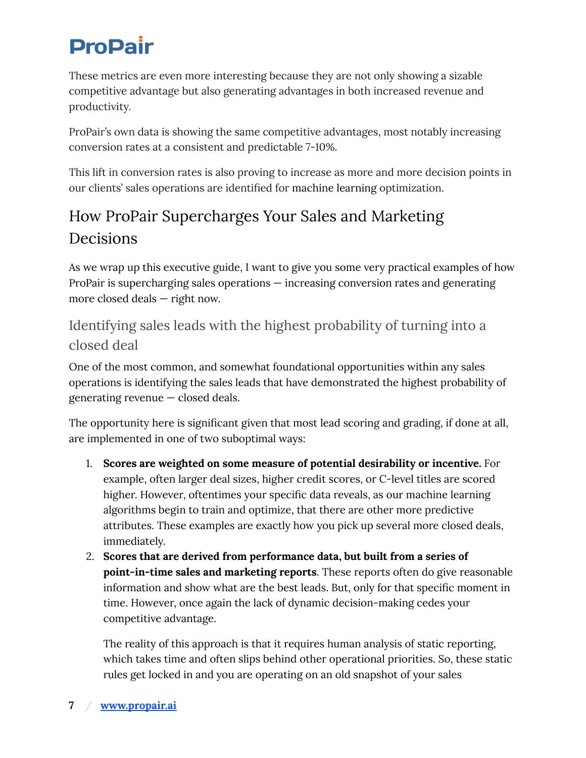These metrics are even more interesting because they are not only showing a sizable competitive advantage but also generating advantages in both increased revenue and productivity.

ProPair's own data is showing the same competitive advantages, most notably increasing conversion rates at a consistent and predictable 7-10%.

This lift in conversion rates is also proving to increase as more and more decision points in our clients' sales operations are identified for machine learning optimization.

### How ProPair Supercharges Your Sales and Marketing Decisions

As we wrap up this executive guide, I want to give you some very practical examples of how ProPair is supercharging sales operations — increasing conversion rates and generating more closed deals — right now.

### Identifying sales leads with the highest probability of turning into a closed deal

One of the most common, and somewhat foundational opportunities within any sales operations is identifying the sales leads that have demonstrated the highest probability of generating revenue — closed deals.

The opportunity here is significant given that most lead scoring and grading, if done at all, are implemented in one of two suboptimal ways:

- 1. **Scores are weighted on some measure of potential desirability or incentive.** For example, often larger deal sizes, higher credit scores, or C-level titles are scored higher. However, oftentimes your specific data reveals, as our machine learning algorithms begin to train and optimize, that there are other more predictive attributes. These examples are exactly how you pick up several more closed deals, immediately.
- 2. **Scores that are derived from performance data, but built from a series of point-in-time sales and marketing reports**. These reports often do give reasonable information and show what are the best leads. But, only for that specific moment in time. However, once again the lack of dynamic decision-making cedes your competitive advantage.

The reality of this approach is that it requires human analysis of static reporting, which takes time and often slips behind other operational priorities. So, these static rules get locked in and you are operating on an old snapshot of your sales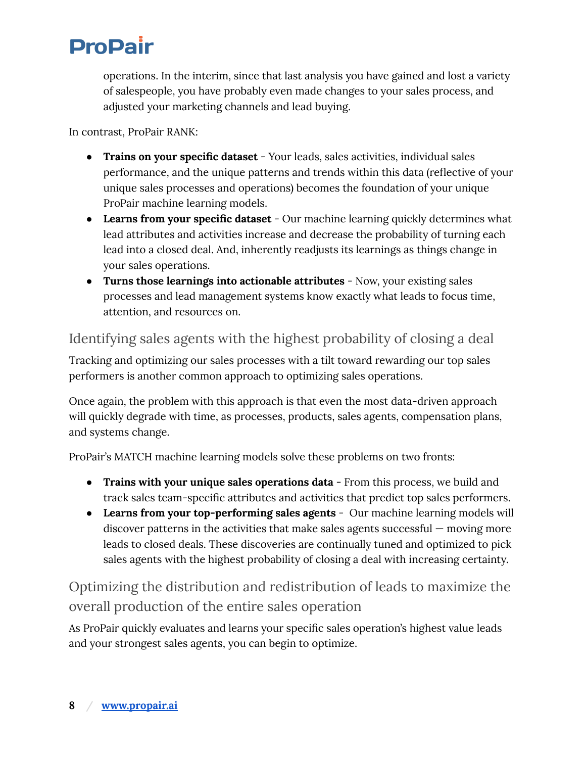operations. In the interim, since that last analysis you have gained and lost a variety of salespeople, you have probably even made changes to your sales process, and adjusted your marketing channels and lead buying.

In contrast, ProPair RANK:

- **Trains on your specific dataset** Your leads, sales activities, individual sales performance, and the unique patterns and trends within this data (reflective of your unique sales processes and operations) becomes the foundation of your unique ProPair machine learning models.
- **Learns from your specific dataset** Our machine learning quickly determines what lead attributes and activities increase and decrease the probability of turning each lead into a closed deal. And, inherently readjusts its learnings as things change in your sales operations.
- **Turns those learnings into actionable attributes** Now, your existing sales processes and lead management systems know exactly what leads to focus time, attention, and resources on.

### Identifying sales agents with the highest probability of closing a deal

Tracking and optimizing our sales processes with a tilt toward rewarding our top sales performers is another common approach to optimizing sales operations.

Once again, the problem with this approach is that even the most data-driven approach will quickly degrade with time, as processes, products, sales agents, compensation plans, and systems change.

ProPair's MATCH machine learning models solve these problems on two fronts:

- **Trains with your unique sales operations data** From this process, we build and track sales team-specific attributes and activities that predict top sales performers.
- **Learns from your top-performing sales agents** Our machine learning models will discover patterns in the activities that make sales agents successful — moving more leads to closed deals. These discoveries are continually tuned and optimized to pick sales agents with the highest probability of closing a deal with increasing certainty.

Optimizing the distribution and redistribution of leads to maximize the overall production of the entire sales operation

As ProPair quickly evaluates and learns your specific sales operation's highest value leads and your strongest sales agents, you can begin to optimize.